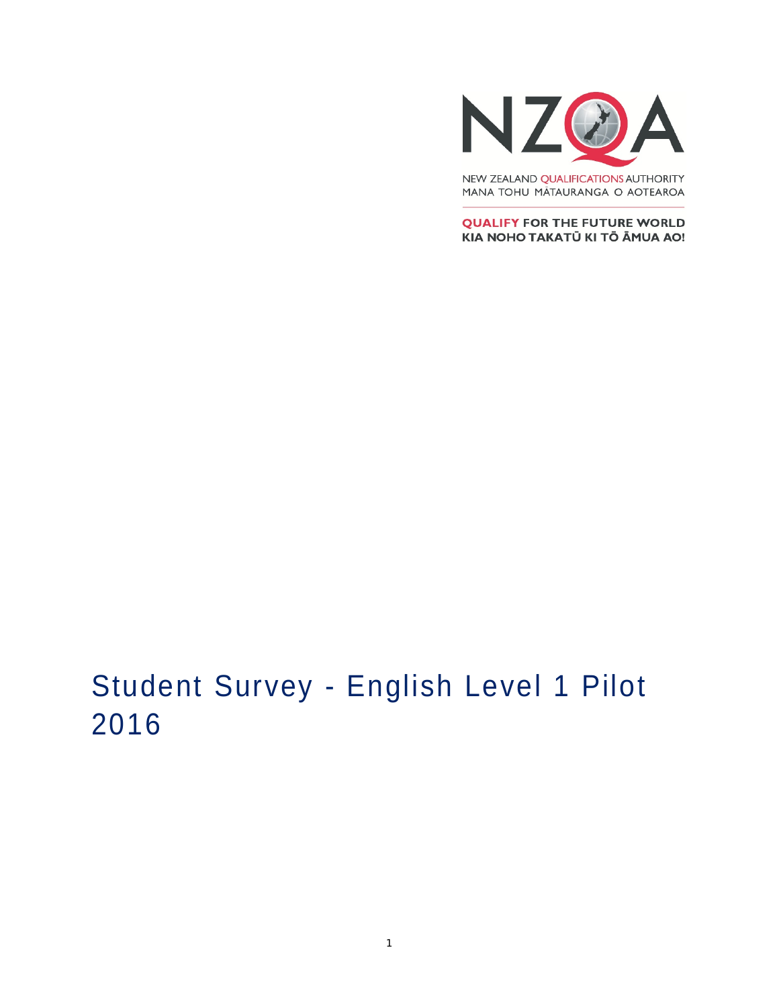

MANA TOHU MĀTAURANGA O AOTEAROA

**QUALIFY FOR THE FUTURE WORLD** KIA NOHO TAKATŪ KI TŌ ĀMUA AO!

# Student Survey - English Level 1 Pilot 2016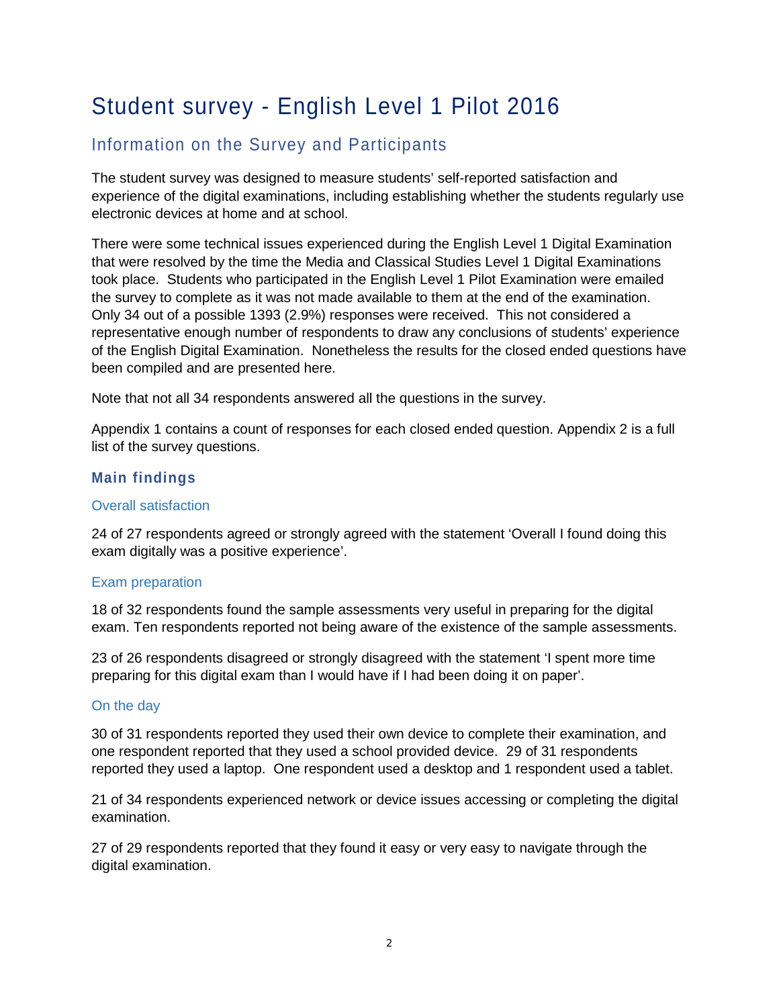## Student survey - English Level 1 Pilot 2016

### Information on the Survey and Participants

The student survey was designed to measure students' self-reported satisfaction and experience of the digital examinations, including establishing whether the students regularly use electronic devices at home and at school.

There were some technical issues experienced during the English Level 1 Digital Examination that were resolved by the time the Media and Classical Studies Level 1 Digital Examinations took place. Students who participated in the English Level 1 Pilot Examination were emailed the survey to complete as it was not made available to them at the end of the examination. Only 34 out of a possible 1393 (2.9%) responses were received. This not considered a representative enough number of respondents to draw any conclusions of students' experience of the English Digital Examination. Nonetheless the results for the closed ended questions have been compiled and are presented here.

Note that not all 34 respondents answered all the questions in the survey.

Appendix 1 contains a count of responses for each closed ended question. Appendix 2 is a full list of the survey questions.

#### **Main findings**

#### Overall satisfaction

24 of 27 respondents agreed or strongly agreed with the statement 'Overall I found doing this exam digitally was a positive experience'.

#### Exam preparation

18 of 32 respondents found the sample assessments very useful in preparing for the digital exam. Ten respondents reported not being aware of the existence of the sample assessments.

23 of 26 respondents disagreed or strongly disagreed with the statement 'I spent more time preparing for this digital exam than I would have if I had been doing it on paper'.

#### On the day

30 of 31 respondents reported they used their own device to complete their examination, and one respondent reported that they used a school provided device. 29 of 31 respondents reported they used a laptop. One respondent used a desktop and 1 respondent used a tablet.

21 of 34 respondents experienced network or device issues accessing or completing the digital examination.

27 of 29 respondents reported that they found it easy or very easy to navigate through the digital examination.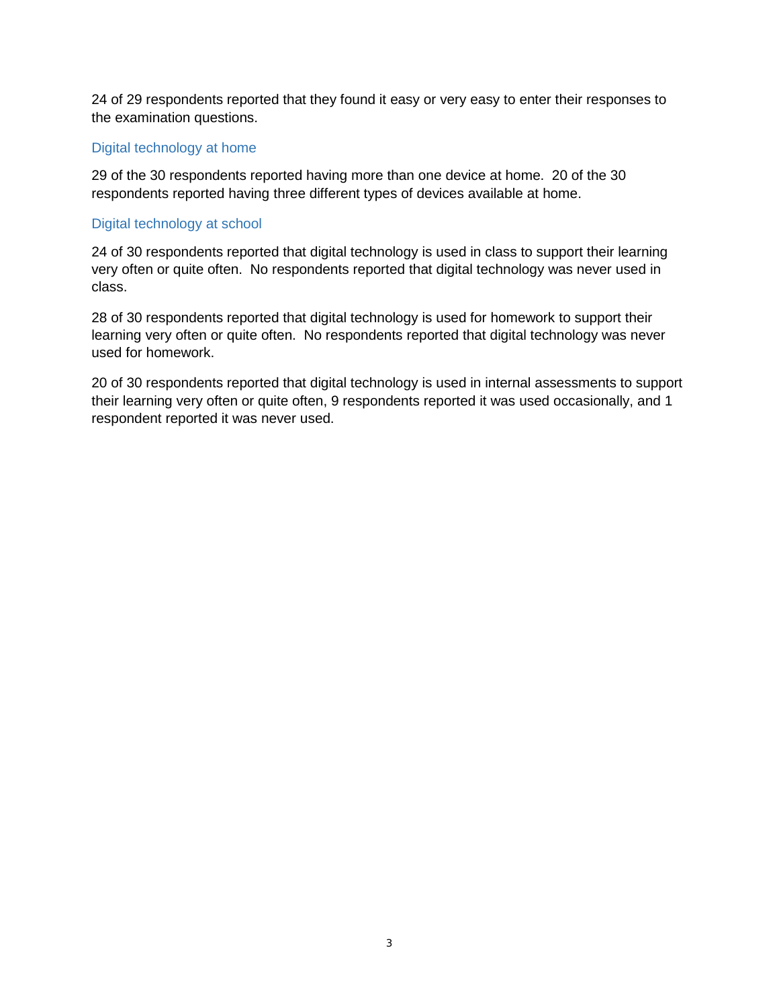24 of 29 respondents reported that they found it easy or very easy to enter their responses to the examination questions.

#### Digital technology at home

29 of the 30 respondents reported having more than one device at home. 20 of the 30 respondents reported having three different types of devices available at home.

#### Digital technology at school

24 of 30 respondents reported that digital technology is used in class to support their learning very often or quite often. No respondents reported that digital technology was never used in class.

28 of 30 respondents reported that digital technology is used for homework to support their learning very often or quite often. No respondents reported that digital technology was never used for homework.

20 of 30 respondents reported that digital technology is used in internal assessments to support their learning very often or quite often, 9 respondents reported it was used occasionally, and 1 respondent reported it was never used.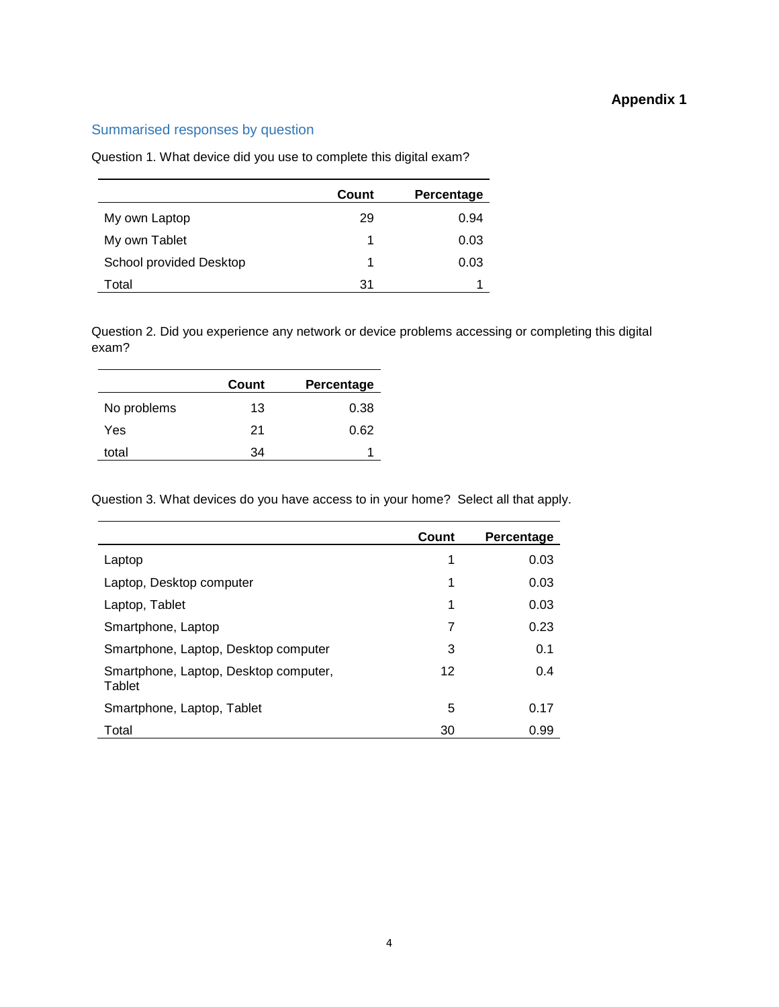#### **Appendix 1**

#### Summarised responses by question

Question 1. What device did you use to complete this digital exam?

|                                | Count | Percentage |
|--------------------------------|-------|------------|
| My own Laptop                  | 29    | 0.94       |
| My own Tablet                  | 1     | 0.03       |
| <b>School provided Desktop</b> | 1     | 0.03       |
| Total                          | 31    |            |

Question 2. Did you experience any network or device problems accessing or completing this digital exam?

|             | Count | Percentage |
|-------------|-------|------------|
| No problems | 13    | 0.38       |
| Yes         | 21    | 0.62       |
| total       | 34    |            |

Question 3. What devices do you have access to in your home? Select all that apply.

|                                                 | Count | Percentage |
|-------------------------------------------------|-------|------------|
| Laptop                                          | 1     | 0.03       |
| Laptop, Desktop computer                        | 1     | 0.03       |
| Laptop, Tablet                                  | 1     | 0.03       |
| Smartphone, Laptop                              | 7     | 0.23       |
| Smartphone, Laptop, Desktop computer            | 3     | 0.1        |
| Smartphone, Laptop, Desktop computer,<br>Tablet | 12    | 0.4        |
| Smartphone, Laptop, Tablet                      | 5     | 0.17       |
| Total                                           | 30    | 0.99       |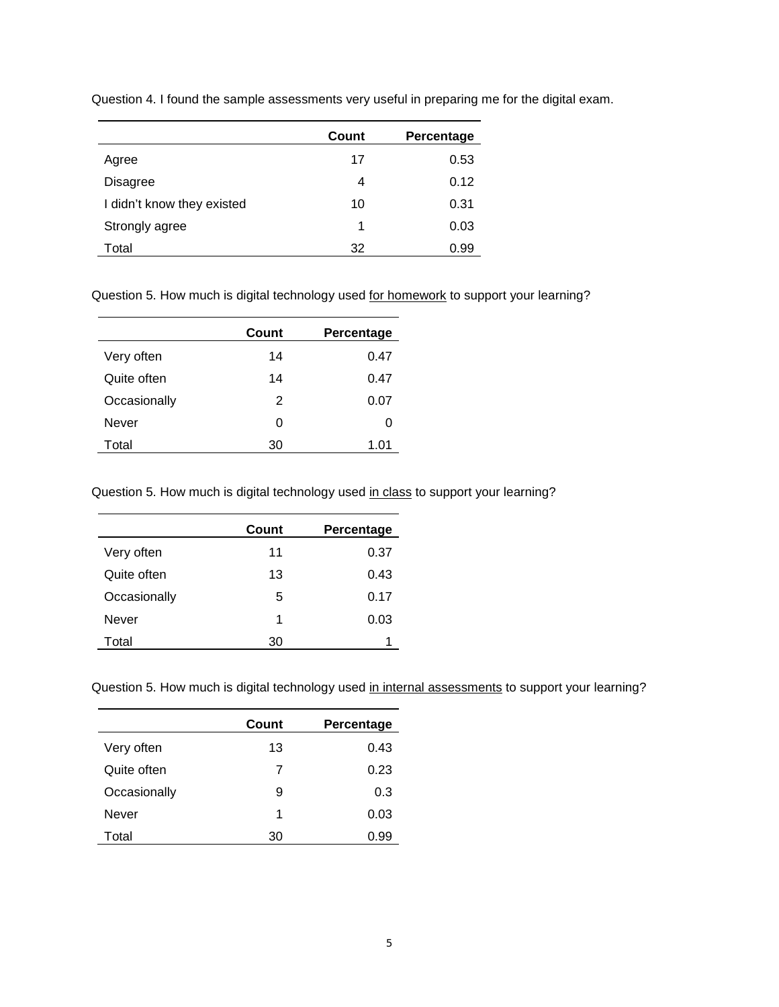|                            | Count | Percentage |
|----------------------------|-------|------------|
| Agree                      | 17    | 0.53       |
| Disagree                   | 4     | 0.12       |
| I didn't know they existed | 10    | 0.31       |
| Strongly agree             | 1     | 0.03       |
| Total                      | 32    | 0.99       |

Question 4. I found the sample assessments very useful in preparing me for the digital exam.

Question 5. How much is digital technology used for homework to support your learning?

|              | Count | Percentage |
|--------------|-------|------------|
| Very often   | 14    | 0.47       |
| Quite often  | 14    | 0.47       |
| Occasionally | 2     | 0.07       |
| Never        | O     | 0          |
| Total        | 30    | 1.01       |

Question 5. How much is digital technology used in class to support your learning?

|              | Count | Percentage |
|--------------|-------|------------|
| Very often   | 11    | 0.37       |
| Quite often  | 13    | 0.43       |
| Occasionally | 5     | 0.17       |
| Never        | 1     | 0.03       |
| Total        | 30    |            |

Question 5. How much is digital technology used in internal assessments to support your learning?

|              | Count | Percentage |
|--------------|-------|------------|
| Very often   | 13    | 0.43       |
| Quite often  | 7     | 0.23       |
| Occasionally | 9     | 0.3        |
| <b>Never</b> | 1     | 0.03       |
| Total        | 30    | 0.99       |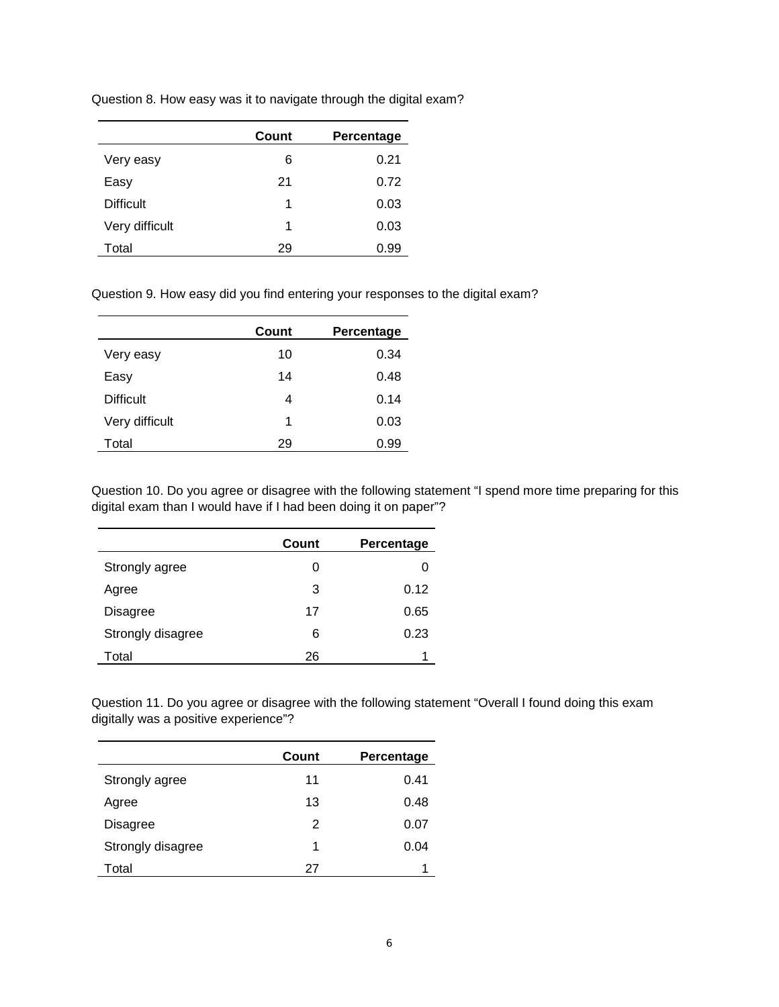| Question 8. How easy was it to navigate through the digital exam? |  |  |  |
|-------------------------------------------------------------------|--|--|--|
|                                                                   |  |  |  |

|                  | Count | Percentage |
|------------------|-------|------------|
| Very easy        | 6     | 0.21       |
| Easy             | 21    | 0.72       |
| <b>Difficult</b> | 1     | 0.03       |
| Very difficult   | 1     | 0.03       |
| Total            | 29    | 0.99       |

Question 9. How easy did you find entering your responses to the digital exam?

|                  | Count | Percentage |
|------------------|-------|------------|
| Very easy        | 10    | 0.34       |
| Easy             | 14    | 0.48       |
| <b>Difficult</b> | 4     | 0.14       |
| Very difficult   | 1     | 0.03       |
| Total            | 29    | 0.99       |

Question 10. Do you agree or disagree with the following statement "I spend more time preparing for this digital exam than I would have if I had been doing it on paper"?

|                   | Count | Percentage |
|-------------------|-------|------------|
| Strongly agree    | 0     | 0          |
| Agree             | 3     | 0.12       |
| Disagree          | 17    | 0.65       |
| Strongly disagree | 6     | 0.23       |
| Total             | 26    |            |

Question 11. Do you agree or disagree with the following statement "Overall I found doing this exam digitally was a positive experience"?

|                   | Count | Percentage |
|-------------------|-------|------------|
| Strongly agree    | 11    | 0.41       |
| Agree             | 13    | 0.48       |
| Disagree          | 2     | 0.07       |
| Strongly disagree | 1     | 0.04       |
| Total             | 27    | 1          |